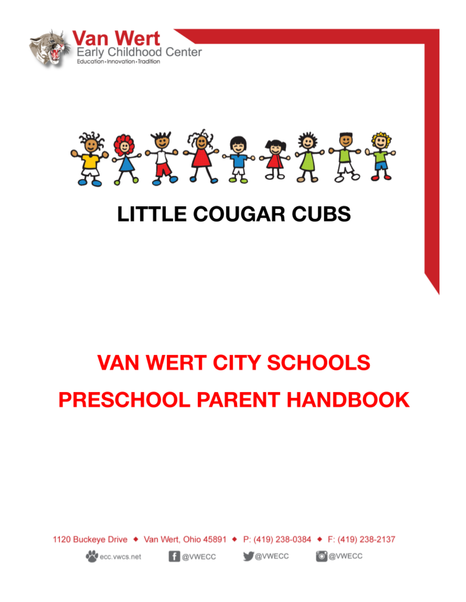



## **LITTLE COUGAR CUBS**

# **VAN WERT CITY SCHOOLS PRESCHOOL PARENT HANDBOOK**

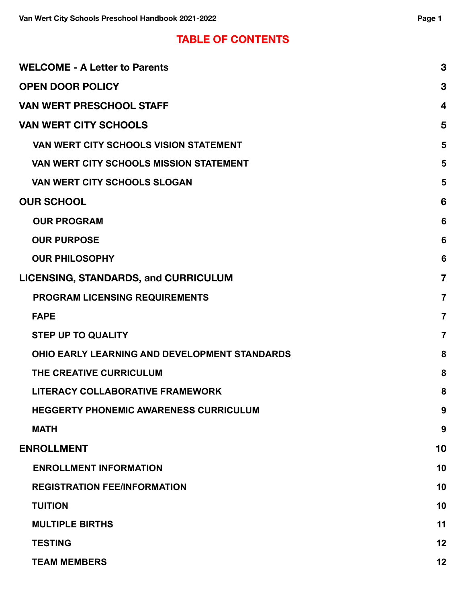### **TABLE OF CONTENTS**

| <b>WELCOME - A Letter to Parents</b>                 | 3                       |
|------------------------------------------------------|-------------------------|
| <b>OPEN DOOR POLICY</b>                              | 3                       |
| <b>VAN WERT PRESCHOOL STAFF</b>                      | $\overline{\mathbf{4}}$ |
| <b>VAN WERT CITY SCHOOLS</b>                         | 5                       |
| VAN WERT CITY SCHOOLS VISION STATEMENT               | 5                       |
| <b>VAN WERT CITY SCHOOLS MISSION STATEMENT</b>       | 5                       |
| <b>VAN WERT CITY SCHOOLS SLOGAN</b>                  | 5                       |
| <b>OUR SCHOOL</b>                                    | 6                       |
| <b>OUR PROGRAM</b>                                   | 6                       |
| <b>OUR PURPOSE</b>                                   | 6                       |
| <b>OUR PHILOSOPHY</b>                                | 6                       |
| <b>LICENSING, STANDARDS, and CURRICULUM</b>          | $\overline{7}$          |
| <b>PROGRAM LICENSING REQUIREMENTS</b>                | $\overline{7}$          |
| <b>FAPE</b>                                          | $\overline{7}$          |
| <b>STEP UP TO QUALITY</b>                            | $\overline{7}$          |
| <b>OHIO EARLY LEARNING AND DEVELOPMENT STANDARDS</b> | 8                       |
| THE CREATIVE CURRICULUM                              | 8                       |
| LITERACY COLLABORATIVE FRAMEWORK                     | 8                       |
| <b>HEGGERTY PHONEMIC AWARENESS CURRICULUM</b>        | 9                       |
| <b>MATH</b>                                          | 9                       |
| <b>ENROLLMENT</b>                                    | 10                      |
| <b>ENROLLMENT INFORMATION</b>                        | 10                      |
| <b>REGISTRATION FEE/INFORMATION</b>                  | 10                      |
| <b>TUITION</b>                                       | 10                      |
| <b>MULTIPLE BIRTHS</b>                               | 11                      |
| <b>TESTING</b>                                       | 12                      |
| <b>TEAM MEMBERS</b>                                  | 12                      |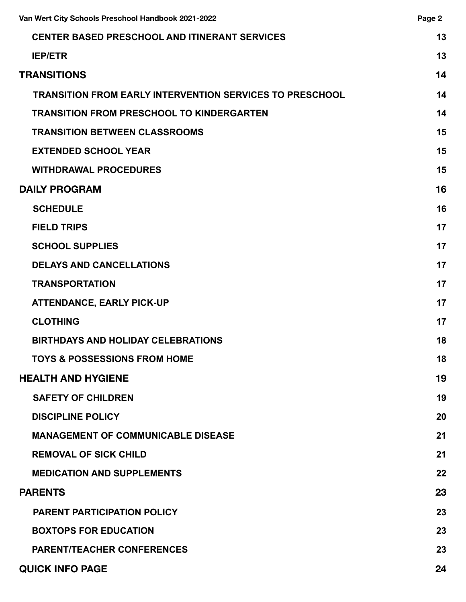| Van Wert City Schools Preschool Handbook 2021-2022              |    |
|-----------------------------------------------------------------|----|
| CENTER BASED PRESCHOOL AND ITINERANT SERVICES                   |    |
| <b>IEP/ETR</b>                                                  | 13 |
| <b>TRANSITIONS</b>                                              | 14 |
| <b>TRANSITION FROM EARLY INTERVENTION SERVICES TO PRESCHOOL</b> | 14 |
| <b>TRANSITION FROM PRESCHOOL TO KINDERGARTEN</b>                | 14 |
| <b>TRANSITION BETWEEN CLASSROOMS</b>                            | 15 |
| <b>EXTENDED SCHOOL YEAR</b>                                     | 15 |
| <b>WITHDRAWAL PROCEDURES</b>                                    | 15 |
| <b>DAILY PROGRAM</b>                                            | 16 |
| <b>SCHEDULE</b>                                                 | 16 |
| <b>FIELD TRIPS</b>                                              | 17 |
| <b>SCHOOL SUPPLIES</b>                                          | 17 |
| <b>DELAYS AND CANCELLATIONS</b>                                 | 17 |
| <b>TRANSPORTATION</b>                                           | 17 |
| <b>ATTENDANCE, EARLY PICK-UP</b>                                | 17 |
| <b>CLOTHING</b>                                                 | 17 |
| <b>BIRTHDAYS AND HOLIDAY CELEBRATIONS</b>                       | 18 |
| <b>TOYS &amp; POSSESSIONS FROM HOME</b>                         | 18 |
| <b>HEALTH AND HYGIENE</b>                                       | 19 |
| <b>SAFETY OF CHILDREN</b>                                       | 19 |
| <b>DISCIPLINE POLICY</b>                                        | 20 |
| <b>MANAGEMENT OF COMMUNICABLE DISEASE</b>                       | 21 |
| <b>REMOVAL OF SICK CHILD</b>                                    | 21 |
| <b>MEDICATION AND SUPPLEMENTS</b>                               | 22 |
| <b>PARENTS</b>                                                  | 23 |
| <b>PARENT PARTICIPATION POLICY</b>                              | 23 |
| <b>BOXTOPS FOR EDUCATION</b>                                    | 23 |
| <b>PARENT/TEACHER CONFERENCES</b>                               | 23 |
| <b>QUICK INFO PAGE</b>                                          | 24 |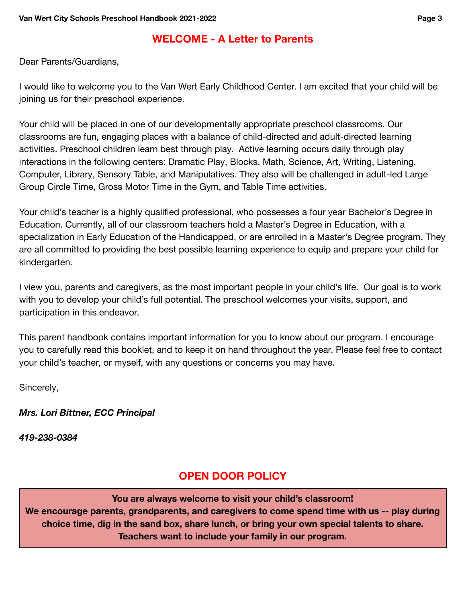### **WELCOME - A Letter to Parents**

<span id="page-3-0"></span>Dear Parents/Guardians,

I would like to welcome you to the Van Wert Early Childhood Center. I am excited that your child will be joining us for their preschool experience.

Your child will be placed in one of our developmentally appropriate preschool classrooms. Our classrooms are fun, engaging places with a balance of child-directed and adult-directed learning activities. Preschool children learn best through play. Active learning occurs daily through play interactions in the following centers: Dramatic Play, Blocks, Math, Science, Art, Writing, Listening, Computer, Library, Sensory Table, and Manipulatives. They also will be challenged in adult-led Large Group Circle Time, Gross Motor Time in the Gym, and Table Time activities.

Your child's teacher is a highly qualified professional, who possesses a four year Bachelor's Degree in Education. Currently, all of our classroom teachers hold a Master's Degree in Education, with a specialization in Early Education of the Handicapped, or are enrolled in a Master's Degree program. They are all committed to providing the best possible learning experience to equip and prepare your child for kindergarten.

I view you, parents and caregivers, as the most important people in your child's life. Our goal is to work with you to develop your child's full potential. The preschool welcomes your visits, support, and participation in this endeavor.

This parent handbook contains important information for you to know about our program. I encourage you to carefully read this booklet, and to keep it on hand throughout the year. Please feel free to contact your child's teacher, or myself, with any questions or concerns you may have.

Sincerely,

*Mrs. Lori Bittner, ECC Principal*

<span id="page-3-1"></span>*419-238-0384*

### **OPEN DOOR POLICY**

**You are always welcome to visit your child's classroom!**

**We encourage parents, grandparents, and caregivers to come spend time with us -- play during choice time, dig in the sand box, share lunch, or bring your own special talents to share. Teachers want to include your family in our program.**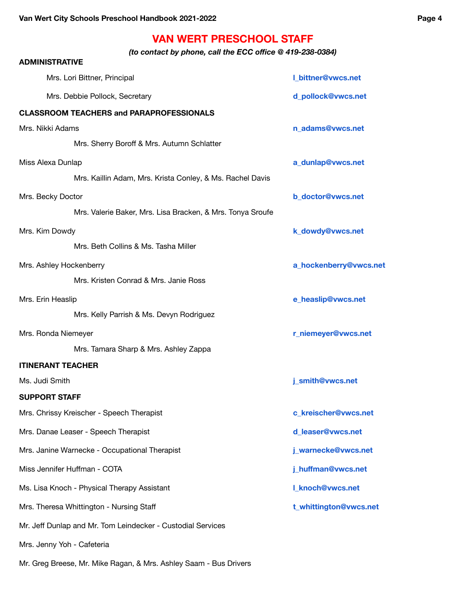### **VAN WERT PRESCHOOL STAFF**

 *(to contact by phone, call the ECC office @ 419-238-0384)*

<span id="page-4-0"></span>

| <b>ADMINISTRATIVE</b>      |                                                             |                           |
|----------------------------|-------------------------------------------------------------|---------------------------|
|                            | Mrs. Lori Bittner, Principal                                | <b>I_bittner@vwcs.net</b> |
|                            | Mrs. Debbie Pollock, Secretary                              | d_pollock@vwcs.net        |
|                            | <b>CLASSROOM TEACHERS and PARAPROFESSIONALS</b>             |                           |
| Mrs. Nikki Adams           |                                                             | n_adams@vwcs.net          |
|                            | Mrs. Sherry Boroff & Mrs. Autumn Schlatter                  |                           |
| Miss Alexa Dunlap          |                                                             | a_dunlap@vwcs.net         |
|                            | Mrs. Kaillin Adam, Mrs. Krista Conley, & Ms. Rachel Davis   |                           |
| Mrs. Becky Doctor          |                                                             | b_doctor@vwcs.net         |
|                            | Mrs. Valerie Baker, Mrs. Lisa Bracken, & Mrs. Tonya Sroufe  |                           |
| Mrs. Kim Dowdy             |                                                             | k_dowdy@vwcs.net          |
|                            | Mrs. Beth Collins & Ms. Tasha Miller                        |                           |
| Mrs. Ashley Hockenberry    |                                                             | a_hockenberry@vwcs.net    |
|                            | Mrs. Kristen Conrad & Mrs. Janie Ross                       |                           |
| Mrs. Erin Heaslip          |                                                             | e_heaslip@vwcs.net        |
|                            | Mrs. Kelly Parrish & Ms. Devyn Rodriguez                    |                           |
| Mrs. Ronda Niemeyer        |                                                             | r_niemeyer@vwcs.net       |
|                            | Mrs. Tamara Sharp & Mrs. Ashley Zappa                       |                           |
| <b>ITINERANT TEACHER</b>   |                                                             |                           |
| Ms. Judi Smith             |                                                             | j_smith@vwcs.net          |
| <b>SUPPORT STAFF</b>       |                                                             |                           |
|                            | Mrs. Chrissy Kreischer - Speech Therapist                   | c_kreischer@vwcs.net      |
|                            | Mrs. Danae Leaser - Speech Therapist                        | d_leaser@vwcs.net         |
|                            | Mrs. Janine Warnecke - Occupational Therapist               | j_warnecke@vwcs.net       |
|                            | Miss Jennifer Huffman - COTA                                | j_huffman@vwcs.net        |
|                            | Ms. Lisa Knoch - Physical Therapy Assistant                 | <b>L_knoch@vwcs.net</b>   |
|                            | Mrs. Theresa Whittington - Nursing Staff                    | t_whittington@vwcs.net    |
|                            | Mr. Jeff Dunlap and Mr. Tom Leindecker - Custodial Services |                           |
| Mrs. Jenny Yoh - Cafeteria |                                                             |                           |
|                            |                                                             |                           |

Mr. Greg Breese, Mr. Mike Ragan, & Mrs. Ashley Saam - Bus Drivers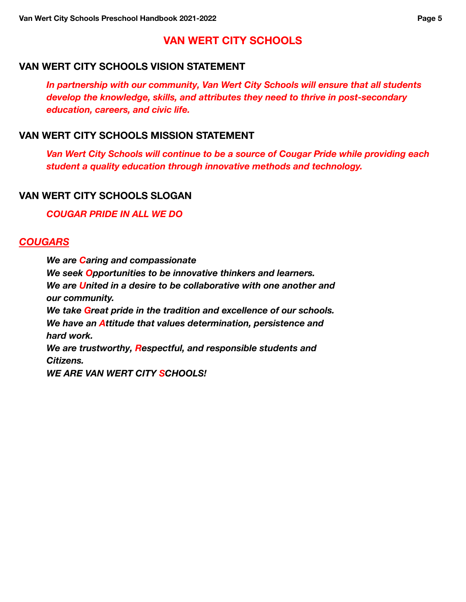### **VAN WERT CITY SCHOOLS**

#### <span id="page-5-1"></span><span id="page-5-0"></span> **VAN WERT CITY SCHOOLS VISION STATEMENT**

*In partnership with our community, Van Wert City Schools will ensure that all students develop the knowledge, skills, and attributes they need to thrive in post-secondary education, careers, and civic life.*

#### <span id="page-5-2"></span> **VAN WERT CITY SCHOOLS MISSION STATEMENT**

*Van Wert City Schools will continue to be a source of Cougar Pride while providing each student a quality education through innovative methods and technology.*

#### <span id="page-5-3"></span> **VAN WERT CITY SCHOOLS SLOGAN**

*COUGAR PRIDE IN ALL WE DO*

#### *COUGARS*

*We are Caring and compassionate We seek Opportunities to be innovative thinkers and learners. We are United in a desire to be collaborative with one another and our community. We take Great pride in the tradition and excellence of our schools. We have an Attitude that values determination, persistence and hard work. We are trustworthy, Respectful, and responsible students and Citizens. WE ARE VAN WERT CITY SCHOOLS!*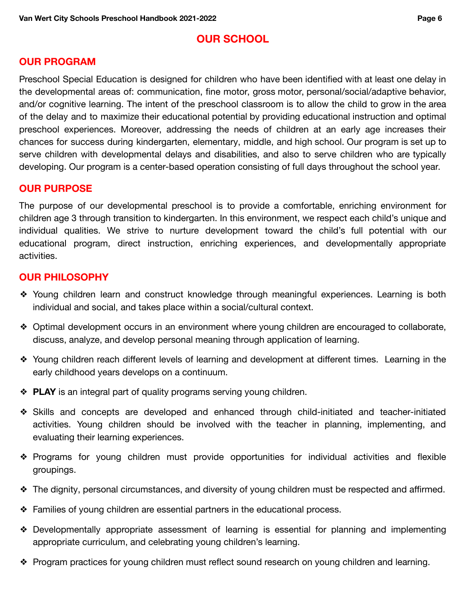### **OUR SCHOOL**

### <span id="page-6-1"></span><span id="page-6-0"></span>**OUR PROGRAM**

Preschool Special Education is designed for children who have been identified with at least one delay in the developmental areas of: communication, fine motor, gross motor, personal/social/adaptive behavior, and/or cognitive learning. The intent of the preschool classroom is to allow the child to grow in the area of the delay and to maximize their educational potential by providing educational instruction and optimal preschool experiences. Moreover, addressing the needs of children at an early age increases their chances for success during kindergarten, elementary, middle, and high school. Our program is set up to serve children with developmental delays and disabilities, and also to serve children who are typically developing. Our program is a center-based operation consisting of full days throughout the school year.

#### <span id="page-6-2"></span>**OUR PURPOSE**

The purpose of our developmental preschool is to provide a comfortable, enriching environment for children age 3 through transition to kindergarten. In this environment, we respect each child's unique and individual qualities. We strive to nurture development toward the child's full potential with our educational program, direct instruction, enriching experiences, and developmentally appropriate activities.

### <span id="page-6-3"></span>**OUR PHILOSOPHY**

- ❖ Young children learn and construct knowledge through meaningful experiences. Learning is both individual and social, and takes place within a social/cultural context.
- ❖ Optimal development occurs in an environment where young children are encouraged to collaborate, discuss, analyze, and develop personal meaning through application of learning.
- ❖ Young children reach different levels of learning and development at different times. Learning in the early childhood years develops on a continuum.
- ❖ **PLAY** is an integral part of quality programs serving young children.
- ❖ Skills and concepts are developed and enhanced through child-initiated and teacher-initiated activities. Young children should be involved with the teacher in planning, implementing, and evaluating their learning experiences.
- ❖ Programs for young children must provide opportunities for individual activities and flexible groupings.
- ❖ The dignity, personal circumstances, and diversity of young children must be respected and affirmed.
- ❖ Families of young children are essential partners in the educational process.
- ❖ Developmentally appropriate assessment of learning is essential for planning and implementing appropriate curriculum, and celebrating young children's learning.
- ❖ Program practices for young children must reflect sound research on young children and learning.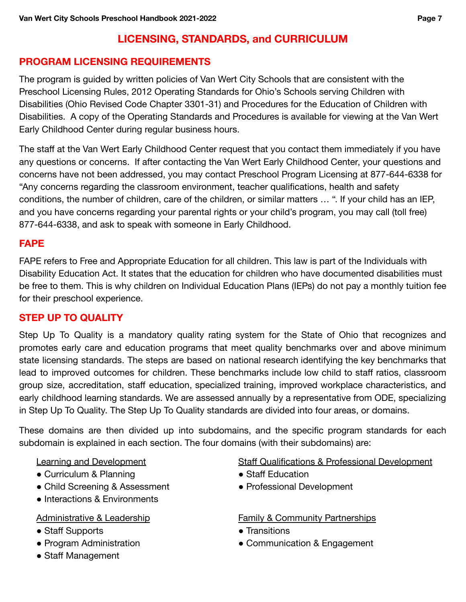### **LICENSING, STANDARDS, and CURRICULUM**

### <span id="page-7-1"></span><span id="page-7-0"></span>**PROGRAM LICENSING REQUIREMENTS**

The program is guided by written policies of Van Wert City Schools that are consistent with the Preschool Licensing Rules, 2012 Operating Standards for Ohio's Schools serving Children with Disabilities (Ohio Revised Code Chapter 3301-31) and Procedures for the Education of Children with Disabilities. A copy of the Operating Standards and Procedures is available for viewing at the Van Wert Early Childhood Center during regular business hours.

The staff at the Van Wert Early Childhood Center request that you contact them immediately if you have any questions or concerns. If after contacting the Van Wert Early Childhood Center, your questions and concerns have not been addressed, you may contact Preschool Program Licensing at 877-644-6338 for "Any concerns regarding the classroom environment, teacher qualifications, health and safety conditions, the number of children, care of the children, or similar matters … ". If your child has an IEP, and you have concerns regarding your parental rights or your child's program, you may call (toll free) 877-644-6338, and ask to speak with someone in Early Childhood.

#### <span id="page-7-2"></span>**FAPE**

FAPE refers to Free and Appropriate Education for all children. This law is part of the Individuals with Disability Education Act. It states that the education for children who have documented disabilities must be free to them. This is why children on Individual Education Plans (IEPs) do not pay a monthly tuition fee for their preschool experience.

### <span id="page-7-3"></span> **STEP UP TO QUALITY**

Step Up To Quality is a mandatory quality rating system for the State of Ohio that recognizes and promotes early care and education programs that meet quality benchmarks over and above minimum state licensing standards. The steps are based on national research identifying the key benchmarks that lead to improved outcomes for children. These benchmarks include low child to staff ratios, classroom group size, accreditation, staff education, specialized training, improved workplace characteristics, and early childhood learning standards. We are assessed annually by a representative from ODE, specializing in Step Up To Quality. The Step Up To Quality standards are divided into four areas, or domains.

These domains are then divided up into subdomains, and the specific program standards for each subdomain is explained in each section. The four domains (with their subdomains) are:

Learning and Development

- Curriculum & Planning
- Child Screening & Assessment
- Interactions & Environments

#### Administrative & Leadership

- Staff Supports
- Program Administration
- Staff Management

Staff Qualifications & Professional Development

- Staff Education
- Professional Development

#### Family & Community Partnerships

- Transitions
- Communication & Engagement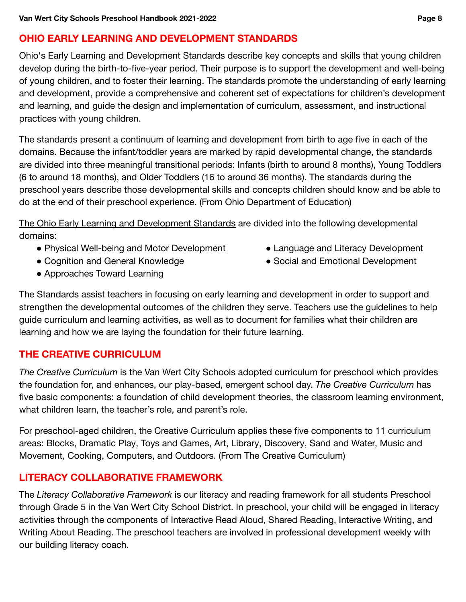### <span id="page-8-0"></span> **OHIO EARLY LEARNING AND DEVELOPMENT STANDARDS**

Ohio's Early Learning and Development Standards describe key concepts and skills that young children develop during the birth-to-five-year period. Their purpose is to support the development and well-being of young children, and to foster their learning. The standards promote the understanding of early learning and development, provide a comprehensive and coherent set of expectations for children's development and learning, and guide the design and implementation of curriculum, assessment, and instructional practices with young children.

The standards present a continuum of learning and development from birth to age five in each of the domains. Because the infant/toddler years are marked by rapid developmental change, the standards are divided into three meaningful transitional periods: Infants (birth to around 8 months), Young Toddlers (6 to around 18 months), and Older Toddlers (16 to around 36 months). The standards during the preschool years describe those developmental skills and concepts children should know and be able to do at the end of their preschool experience. (From Ohio Department of Education)

The Ohio Early Learning and Development Standards are divided into the following developmental domains:

- Physical Well-being and Motor Development Language and Literacy Development
- Cognition and General Knowledge  **Social and Emotional Development**
- Approaches Toward Learning
- 
- 

The Standards assist teachers in focusing on early learning and development in order to support and strengthen the developmental outcomes of the children they serve. Teachers use the guidelines to help guide curriculum and learning activities, as well as to document for families what their children are learning and how we are laying the foundation for their future learning.

### <span id="page-8-1"></span> **THE CREATIVE CURRICULUM**

*The Creative Curriculum* is the Van Wert City Schools adopted curriculum for preschool which provides the foundation for, and enhances, our play-based, emergent school day. *The Creative Curriculum* has five basic components: a foundation of child development theories, the classroom learning environment, what children learn, the teacher's role, and parent's role.

For preschool-aged children, the Creative Curriculum applies these five components to 11 curriculum areas: Blocks, Dramatic Play, Toys and Games, Art, Library, Discovery, Sand and Water, Music and Movement, Cooking, Computers, and Outdoors. (From The Creative Curriculum)

### <span id="page-8-2"></span>**LITERACY COLLABORATIVE FRAMEWORK**

The *Literacy Collaborative Framework* is our literacy and reading framework for all students Preschool through Grade 5 in the Van Wert City School District. In preschool, your child will be engaged in literacy activities through the components of Interactive Read Aloud, Shared Reading, Interactive Writing, and Writing About Reading. The preschool teachers are involved in professional development weekly with our building literacy coach.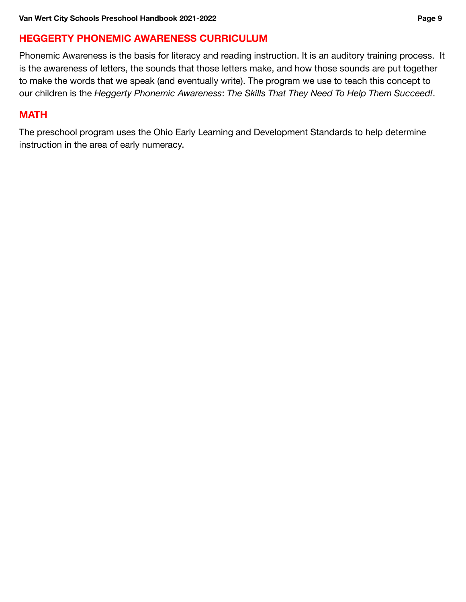### <span id="page-9-0"></span>**HEGGERTY PHONEMIC AWARENESS CURRICULUM**

Phonemic Awareness is the basis for literacy and reading instruction. It is an auditory training process. It is the awareness of letters, the sounds that those letters make, and how those sounds are put together to make the words that we speak (and eventually write). The program we use to teach this concept to our children is the *Heggerty Phonemic Awareness*: *The Skills That They Need To Help Them Succeed!*.

#### <span id="page-9-1"></span>**MATH**

The preschool program uses the Ohio Early Learning and Development Standards to help determine instruction in the area of early numeracy.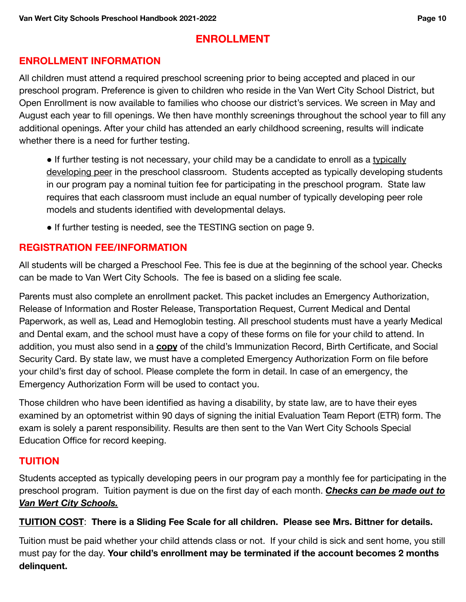### **ENROLLMENT**

#### <span id="page-10-1"></span><span id="page-10-0"></span>**ENROLLMENT INFORMATION**

All children must attend a required preschool screening prior to being accepted and placed in our preschool program. Preference is given to children who reside in the Van Wert City School District, but Open Enrollment is now available to families who choose our district's services. We screen in May and August each year to fill openings. We then have monthly screenings throughout the school year to fill any additional openings. After your child has attended an early childhood screening, results will indicate whether there is a need for further testing.

● If further testing is not necessary, your child may be a candidate to enroll as a typically developing peer in the preschool classroom. Students accepted as typically developing students in our program pay a nominal tuition fee for participating in the preschool program. State law requires that each classroom must include an equal number of typically developing peer role models and students identified with developmental delays.

● If further testing is needed, see the TESTING section on page 9.

### <span id="page-10-2"></span>**REGISTRATION FEE/INFORMATION**

All students will be charged a Preschool Fee. This fee is due at the beginning of the school year. Checks can be made to Van Wert City Schools. The fee is based on a sliding fee scale.

Parents must also complete an enrollment packet. This packet includes an Emergency Authorization, Release of Information and Roster Release, Transportation Request, Current Medical and Dental Paperwork, as well as, Lead and Hemoglobin testing. All preschool students must have a yearly Medical and Dental exam, and the school must have a copy of these forms on file for your child to attend. In addition, you must also send in a **copy** of the child's Immunization Record, Birth Certificate, and Social Security Card. By state law, we must have a completed Emergency Authorization Form on file before your child's first day of school. Please complete the form in detail. In case of an emergency, the Emergency Authorization Form will be used to contact you.

Those children who have been identified as having a disability, by state law, are to have their eyes examined by an optometrist within 90 days of signing the initial Evaluation Team Report (ETR) form. The exam is solely a parent responsibility. Results are then sent to the Van Wert City Schools Special Education Office for record keeping.

### <span id="page-10-3"></span>**TUITION**

Students accepted as typically developing peers in our program pay a monthly fee for participating in the preschool program. Tuition payment is due on the first day of each month. *Checks can be made out to Van Wert City Schools.*

#### **TUITION COST**: **There is a Sliding Fee Scale for all children. Please see Mrs. Bittner for details.**

Tuition must be paid whether your child attends class or not. If your child is sick and sent home, you still must pay for the day. **Your child's enrollment may be terminated if the account becomes 2 months delinquent.**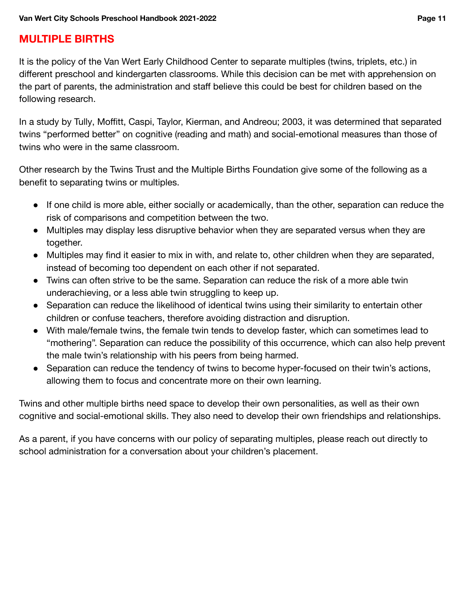### <span id="page-11-0"></span>**MULTIPLE BIRTHS**

It is the policy of the Van Wert Early Childhood Center to separate multiples (twins, triplets, etc.) in different preschool and kindergarten classrooms. While this decision can be met with apprehension on the part of parents, the administration and staff believe this could be best for children based on the following research.

In a study by Tully, Moffitt, Caspi, Taylor, Kierman, and Andreou; 2003, it was determined that separated twins "performed better" on cognitive (reading and math) and social-emotional measures than those of twins who were in the same classroom.

Other research by the Twins Trust and the Multiple Births Foundation give some of the following as a benefit to separating twins or multiples.

- If one child is more able, either socially or academically, than the other, separation can reduce the risk of comparisons and competition between the two.
- Multiples may display less disruptive behavior when they are separated versus when they are together.
- Multiples may find it easier to mix in with, and relate to, other children when they are separated, instead of becoming too dependent on each other if not separated.
- Twins can often strive to be the same. Separation can reduce the risk of a more able twin underachieving, or a less able twin struggling to keep up.
- Separation can reduce the likelihood of identical twins using their similarity to entertain other children or confuse teachers, therefore avoiding distraction and disruption.
- With male/female twins, the female twin tends to develop faster, which can sometimes lead to "mothering". Separation can reduce the possibility of this occurrence, which can also help prevent the male twin's relationship with his peers from being harmed.
- Separation can reduce the tendency of twins to become hyper-focused on their twin's actions, allowing them to focus and concentrate more on their own learning.

Twins and other multiple births need space to develop their own personalities, as well as their own cognitive and social-emotional skills. They also need to develop their own friendships and relationships.

As a parent, if you have concerns with our policy of separating multiples, please reach out directly to school administration for a conversation about your children's placement.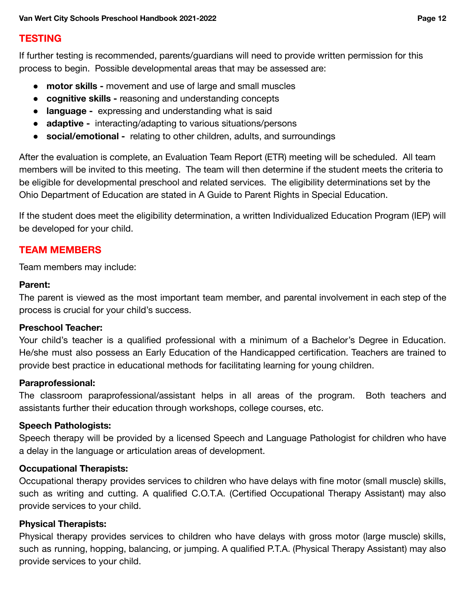### <span id="page-12-0"></span>**TESTING**

If further testing is recommended, parents/guardians will need to provide written permission for this process to begin. Possible developmental areas that may be assessed are:

- **motor skills -** movement and use of large and small muscles
- **cognitive skills -** reasoning and understanding concepts
- **language -** expressing and understanding what is said
- **adaptive -** interacting/adapting to various situations/persons
- **social/emotional -** relating to other children, adults, and surroundings

After the evaluation is complete, an Evaluation Team Report (ETR) meeting will be scheduled. All team members will be invited to this meeting. The team will then determine if the student meets the criteria to be eligible for developmental preschool and related services. The eligibility determinations set by the Ohio Department of Education are stated in A Guide to Parent Rights in Special Education.

If the student does meet the eligibility determination, a written Individualized Education Program (IEP) will be developed for your child.

### <span id="page-12-1"></span>**TEAM MEMBERS**

Team members may include:

#### **Parent:**

The parent is viewed as the most important team member, and parental involvement in each step of the process is crucial for your child's success.

#### **Preschool Teacher:**

Your child's teacher is a qualified professional with a minimum of a Bachelor's Degree in Education. He/she must also possess an Early Education of the Handicapped certification. Teachers are trained to provide best practice in educational methods for facilitating learning for young children.

#### **Paraprofessional:**

The classroom paraprofessional/assistant helps in all areas of the program. Both teachers and assistants further their education through workshops, college courses, etc.

#### **Speech Pathologists:**

Speech therapy will be provided by a licensed Speech and Language Pathologist for children who have a delay in the language or articulation areas of development.

#### **Occupational Therapists:**

Occupational therapy provides services to children who have delays with fine motor (small muscle) skills, such as writing and cutting. A qualified C.O.T.A. (Certified Occupational Therapy Assistant) may also provide services to your child.

#### **Physical Therapists:**

Physical therapy provides services to children who have delays with gross motor (large muscle) skills, such as running, hopping, balancing, or jumping. A qualified P.T.A. (Physical Therapy Assistant) may also provide services to your child.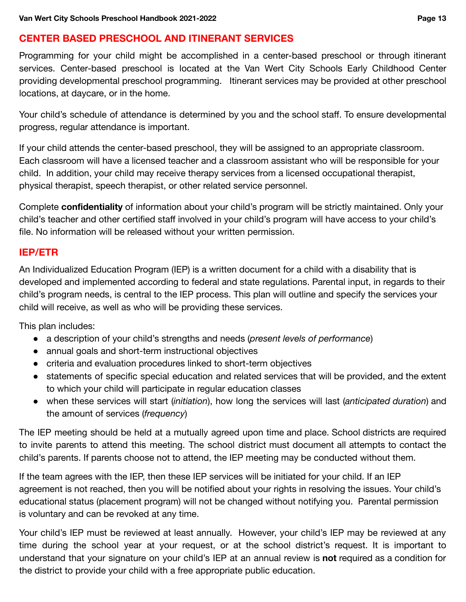### <span id="page-13-0"></span> **CENTER BASED PRESCHOOL AND ITINERANT SERVICES**

Programming for your child might be accomplished in a center-based preschool or through itinerant services. Center-based preschool is located at the Van Wert City Schools Early Childhood Center providing developmental preschool programming. Itinerant services may be provided at other preschool locations, at daycare, or in the home.

Your child's schedule of attendance is determined by you and the school staff. To ensure developmental progress, regular attendance is important.

If your child attends the center-based preschool, they will be assigned to an appropriate classroom. Each classroom will have a licensed teacher and a classroom assistant who will be responsible for your child. In addition, your child may receive therapy services from a licensed occupational therapist, physical therapist, speech therapist, or other related service personnel.

Complete **confidentiality** of information about your child's program will be strictly maintained. Only your child's teacher and other certified staff involved in your child's program will have access to your child's file. No information will be released without your written permission.

### <span id="page-13-1"></span>**IEP/ETR**

An Individualized Education Program (IEP) is a written document for a child with a disability that is developed and implemented according to federal and state regulations. Parental input, in regards to their child's program needs, is central to the IEP process. This plan will outline and specify the services your child will receive, as well as who will be providing these services.

This plan includes:

- a description of your child's strengths and needs (*present levels of performance*)
- annual goals and short-term instructional objectives
- criteria and evaluation procedures linked to short-term objectives
- statements of specific special education and related services that will be provided, and the extent to which your child will participate in regular education classes
- when these services will start (*initiation*), how long the services will last (*anticipated duration*) and the amount of services (*frequency*)

The IEP meeting should be held at a mutually agreed upon time and place. School districts are required to invite parents to attend this meeting. The school district must document all attempts to contact the child's parents. If parents choose not to attend, the IEP meeting may be conducted without them.

If the team agrees with the IEP, then these IEP services will be initiated for your child. If an IEP agreement is not reached, then you will be notified about your rights in resolving the issues. Your child's educational status (placement program) will not be changed without notifying you. Parental permission is voluntary and can be revoked at any time.

Your child's IEP must be reviewed at least annually. However, your child's IEP may be reviewed at any time during the school year at your request, or at the school district's request. It is important to understand that your signature on your child's IEP at an annual review is **not** required as a condition for the district to provide your child with a free appropriate public education.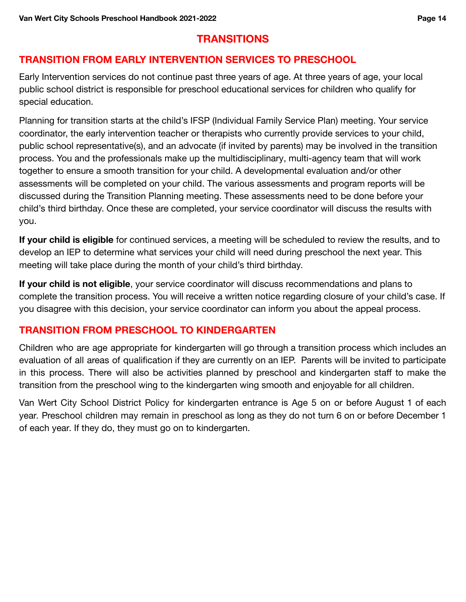### **TRANSITIONS**

### <span id="page-14-1"></span><span id="page-14-0"></span> **TRANSITION FROM EARLY INTERVENTION SERVICES TO PRESCHOOL**

Early Intervention services do not continue past three years of age. At three years of age, your local public school district is responsible for preschool educational services for children who qualify for special education.

Planning for transition starts at the child's IFSP (Individual Family Service Plan) meeting. Your service coordinator, the early intervention teacher or therapists who currently provide services to your child, public school representative(s), and an advocate (if invited by parents) may be involved in the transition process. You and the professionals make up the multidisciplinary, multi-agency team that will work together to ensure a smooth transition for your child. A developmental evaluation and/or other assessments will be completed on your child. The various assessments and program reports will be discussed during the Transition Planning meeting. These assessments need to be done before your child's third birthday. Once these are completed, your service coordinator will discuss the results with you.

**If your child is eligible** for continued services, a meeting will be scheduled to review the results, and to develop an IEP to determine what services your child will need during preschool the next year. This meeting will take place during the month of your child's third birthday.

**If your child is not eligible**, your service coordinator will discuss recommendations and plans to complete the transition process. You will receive a written notice regarding closure of your child's case. If you disagree with this decision, your service coordinator can inform you about the appeal process.

### <span id="page-14-2"></span> **TRANSITION FROM PRESCHOOL TO KINDERGARTEN**

Children who are age appropriate for kindergarten will go through a transition process which includes an evaluation of all areas of qualification if they are currently on an IEP. Parents will be invited to participate in this process. There will also be activities planned by preschool and kindergarten staff to make the transition from the preschool wing to the kindergarten wing smooth and enjoyable for all children.

Van Wert City School District Policy for kindergarten entrance is Age 5 on or before August 1 of each year. Preschool children may remain in preschool as long as they do not turn 6 on or before December 1 of each year. If they do, they must go on to kindergarten.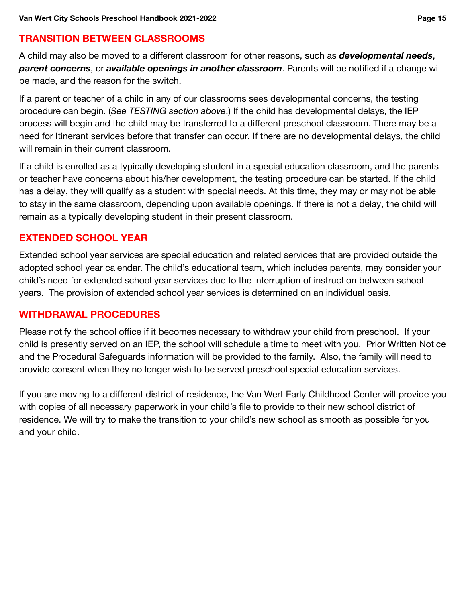### <span id="page-15-0"></span> **TRANSITION BETWEEN CLASSROOMS**

A child may also be moved to a different classroom for other reasons, such as *developmental needs*, *parent concerns*, or *available openings in another classroom*. Parents will be notified if a change will be made, and the reason for the switch.

If a parent or teacher of a child in any of our classrooms sees developmental concerns, the testing procedure can begin. (*See TESTING section above*.) If the child has developmental delays, the IEP process will begin and the child may be transferred to a different preschool classroom. There may be a need for Itinerant services before that transfer can occur. If there are no developmental delays, the child will remain in their current classroom.

If a child is enrolled as a typically developing student in a special education classroom, and the parents or teacher have concerns about his/her development, the testing procedure can be started. If the child has a delay, they will qualify as a student with special needs. At this time, they may or may not be able to stay in the same classroom, depending upon available openings. If there is not a delay, the child will remain as a typically developing student in their present classroom.

### <span id="page-15-1"></span> **EXTENDED SCHOOL YEAR**

Extended school year services are special education and related services that are provided outside the adopted school year calendar. The child's educational team, which includes parents, may consider your child's need for extended school year services due to the interruption of instruction between school years. The provision of extended school year services is determined on an individual basis.

### <span id="page-15-2"></span>**WITHDRAWAL PROCEDURES**

Please notify the school office if it becomes necessary to withdraw your child from preschool. If your child is presently served on an IEP, the school will schedule a time to meet with you. Prior Written Notice and the Procedural Safeguards information will be provided to the family. Also, the family will need to provide consent when they no longer wish to be served preschool special education services.

If you are moving to a different district of residence, the Van Wert Early Childhood Center will provide you with copies of all necessary paperwork in your child's file to provide to their new school district of residence. We will try to make the transition to your child's new school as smooth as possible for you and your child.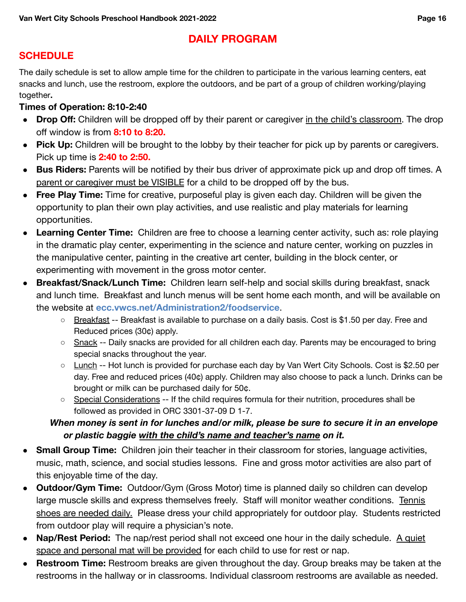### **DAILY PROGRAM**

### <span id="page-16-1"></span><span id="page-16-0"></span>**SCHEDULE**

 The daily schedule is set to allow ample time for the children to participate in the various learning centers, eat snacks and lunch, use the restroom, explore the outdoors, and be part of a group of children working/playing together**.**

#### **Times of Operation: 8:10-2:40**

- **Drop Off:** Children will be dropped off by their parent or caregiver in the child's classroom. The drop off window is from **8:10 to 8:20.**
- **Pick Up:** Children will be brought to the lobby by their teacher for pick up by parents or caregivers. Pick up time is **2:40 to 2:50.**
- **Bus Riders:** Parents will be notified by their bus driver of approximate pick up and drop off times. A parent or caregiver must be VISIBLE for a child to be dropped off by the bus.
- **Free Play Time:** Time for creative, purposeful play is given each day. Children will be given the opportunity to plan their own play activities, and use realistic and play materials for learning opportunities.
- **Learning Center Time:** Children are free to choose a learning center activity, such as: role playing in the dramatic play center, experimenting in the science and nature center, working on puzzles in the manipulative center, painting in the creative art center, building in the block center, or experimenting with movement in the gross motor center.
- **Breakfast/Snack/Lunch Time:** Children learn self-help and social skills during breakfast, snack and lunch time. Breakfast and lunch menus will be sent home each month, and will be available on the website at **[ecc.vwcs.net/Administration2/foodservice](https://ecc.vwcs.net/Administration2/foodservice)**.
	- Breakfast -- Breakfast is available to purchase on a daily basis. Cost is \$1.50 per day. Free and Reduced prices (30¢) apply.
	- **O** Snack -- Daily snacks are provided for all children each day. Parents may be encouraged to bring special snacks throughout the year.
	- Lunch -- Hot lunch is provided for purchase each day by Van Wert City Schools. Cost is \$2.50 per day. Free and reduced prices (40¢) apply. Children may also choose to pack a lunch. Drinks can be brought or milk can be purchased daily for 50¢.
	- **Special Considerations -- If the child requires formula for their nutrition, procedures shall be** followed as provided in ORC 3301-37-09 D 1-7.

### *When money is sent in for lunches and/or milk, please be sure to secure it in an envelope or plastic baggie with the child's name and teacher's name on it.*

- **Small Group Time:** Children join their teacher in their classroom for stories, language activities, music, math, science, and social studies lessons. Fine and gross motor activities are also part of this enjoyable time of the day.
- **Outdoor/Gym Time:** Outdoor/Gym (Gross Motor) time is planned daily so children can develop large muscle skills and express themselves freely. Staff will monitor weather conditions. Tennis shoes are needed daily. Please dress your child appropriately for outdoor play. Students restricted from outdoor play will require a physician's note.
- **Nap/Rest Period:** The nap/rest period shall not exceed one hour in the daily schedule. A quiet space and personal mat will be provided for each child to use for rest or nap.
- **Restroom Time:** Restroom breaks are given throughout the day. Group breaks may be taken at the restrooms in the hallway or in classrooms. Individual classroom restrooms are available as needed.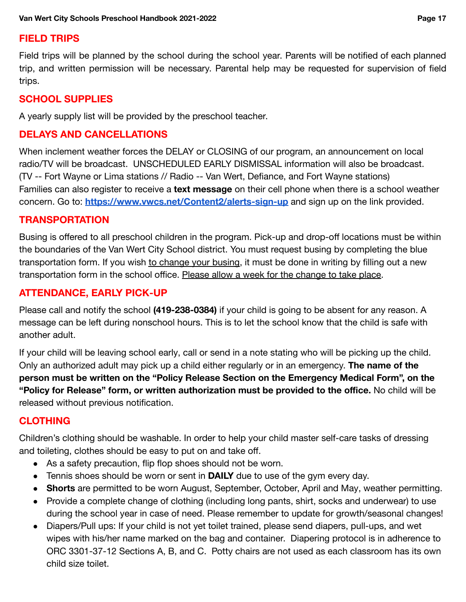### <span id="page-17-0"></span>**FIELD TRIPS**

Field trips will be planned by the school during the school year. Parents will be notified of each planned trip, and written permission will be necessary. Parental help may be requested for supervision of field trips.

### <span id="page-17-1"></span>**SCHOOL SUPPLIES**

A yearly supply list will be provided by the preschool teacher.

### <span id="page-17-2"></span> **DELAYS AND CANCELLATIONS**

When inclement weather forces the DELAY or CLOSING of our program, an announcement on local radio/TV will be broadcast. UNSCHEDULED EARLY DISMISSAL information will also be broadcast. (TV -- Fort Wayne or Lima stations // Radio -- Van Wert, Defiance, and Fort Wayne stations) Families can also register to receive a **text message** on their cell phone when there is a school weather concern. Go to: **<https://www.vwcs.net/Content2/alerts-sign-up>** and sign up on the link provided.

### <span id="page-17-3"></span>**TRANSPORTATION**

Busing is offered to all preschool children in the program. Pick-up and drop-off locations must be within the boundaries of the Van Wert City School district. You must request busing by completing the blue transportation form. If you wish to change your busing, it must be done in writing by filling out a new transportation form in the school office. Please allow a week for the change to take place.

### <span id="page-17-4"></span> **ATTENDANCE, EARLY PICK-UP**

Please call and notify the school **(419-238-0384)** if your child is going to be absent for any reason. A message can be left during nonschool hours. This is to let the school know that the child is safe with another adult.

If your child will be leaving school early, call or send in a note stating who will be picking up the child. Only an authorized adult may pick up a child either regularly or in an emergency. **The name of the person must be written on the "Policy Release Section on the Emergency Medical Form", on the "Policy for Release" form, or written authorization must be provided to the office.** No child will be released without previous notification.

### <span id="page-17-5"></span>**CLOTHING**

Children's clothing should be washable. In order to help your child master self-care tasks of dressing and toileting, clothes should be easy to put on and take off.

- As a safety precaution, flip flop shoes should not be worn.
- Tennis shoes should be worn or sent in **DAILY** due to use of the gym every day.
- **Shorts** are permitted to be worn August, September, October, April and May, weather permitting.
- Provide a complete change of clothing (including long pants, shirt, socks and underwear) to use during the school year in case of need. Please remember to update for growth/seasonal changes!
- Diapers/Pull ups: If your child is not yet toilet trained, please send diapers, pull-ups, and wet wipes with his/her name marked on the bag and container. Diapering protocol is in adherence to ORC 3301-37-12 Sections A, B, and C. Potty chairs are not used as each classroom has its own child size toilet.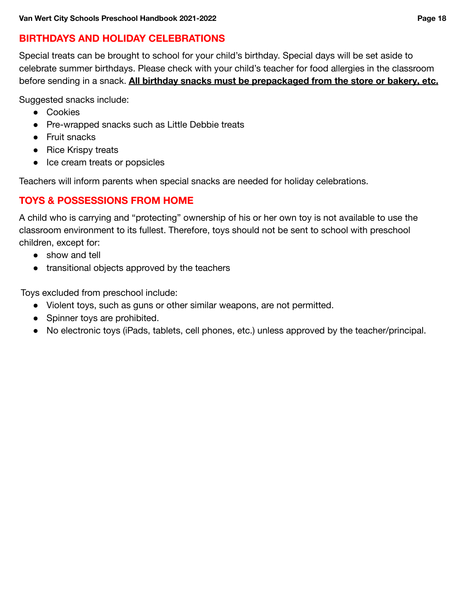### <span id="page-18-0"></span> **BIRTHDAYS AND HOLIDAY CELEBRATIONS**

Special treats can be brought to school for your child's birthday. Special days will be set aside to celebrate summer birthdays. Please check with your child's teacher for food allergies in the classroom before sending in a snack. **All birthday snacks must be prepackaged from the store or bakery, etc.**

Suggested snacks include:

- Cookies
- Pre-wrapped snacks such as Little Debbie treats
- Fruit snacks
- Rice Krispy treats
- Ice cream treats or popsicles

Teachers will inform parents when special snacks are needed for holiday celebrations.

### <span id="page-18-1"></span> **TOYS & POSSESSIONS FROM HOME**

A child who is carrying and "protecting" ownership of his or her own toy is not available to use the classroom environment to its fullest. Therefore, toys should not be sent to school with preschool children, except for:

- show and tell
- transitional objects approved by the teachers

Toys excluded from preschool include:

- Violent toys, such as guns or other similar weapons, are not permitted.
- Spinner toys are prohibited.
- No electronic toys (iPads, tablets, cell phones, etc.) unless approved by the teacher/principal.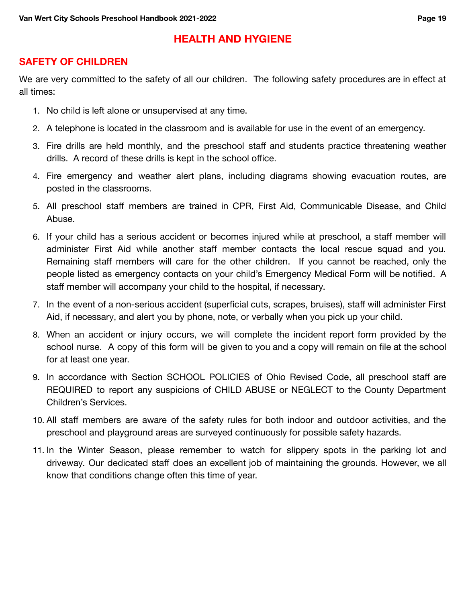### **HEALTH AND HYGIENE**

### <span id="page-19-1"></span><span id="page-19-0"></span> **SAFETY OF CHILDREN**

We are very committed to the safety of all our children. The following safety procedures are in effect at all times:

- 1. No child is left alone or unsupervised at any time.
- 2. A telephone is located in the classroom and is available for use in the event of an emergency.
- 3. Fire drills are held monthly, and the preschool staff and students practice threatening weather drills. A record of these drills is kept in the school office.
- 4. Fire emergency and weather alert plans, including diagrams showing evacuation routes, are posted in the classrooms.
- 5. All preschool staff members are trained in CPR, First Aid, Communicable Disease, and Child Abuse.
- 6. If your child has a serious accident or becomes injured while at preschool, a staff member will administer First Aid while another staff member contacts the local rescue squad and you. Remaining staff members will care for the other children. If you cannot be reached, only the people listed as emergency contacts on your child's Emergency Medical Form will be notified. A staff member will accompany your child to the hospital, if necessary.
- 7. In the event of a non-serious accident (superficial cuts, scrapes, bruises), staff will administer First Aid, if necessary, and alert you by phone, note, or verbally when you pick up your child.
- 8. When an accident or injury occurs, we will complete the incident report form provided by the school nurse. A copy of this form will be given to you and a copy will remain on file at the school for at least one year.
- 9. In accordance with Section SCHOOL POLICIES of Ohio Revised Code, all preschool staff are REQUIRED to report any suspicions of CHILD ABUSE or NEGLECT to the County Department Children's Services.
- 10. All staff members are aware of the safety rules for both indoor and outdoor activities, and the preschool and playground areas are surveyed continuously for possible safety hazards.
- 11. In the Winter Season, please remember to watch for slippery spots in the parking lot and driveway. Our dedicated staff does an excellent job of maintaining the grounds. However, we all know that conditions change often this time of year.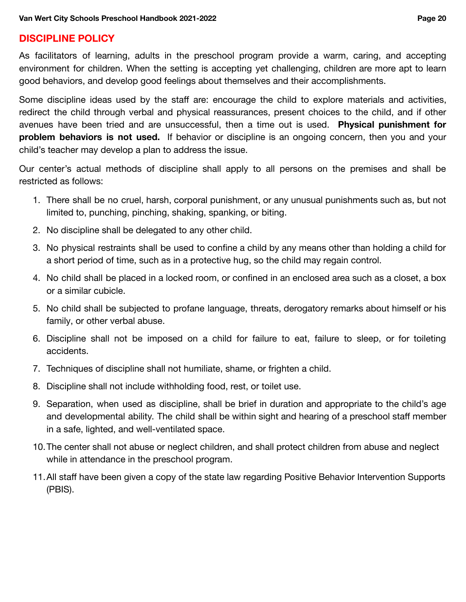#### <span id="page-20-0"></span>**DISCIPLINE POLICY**

As facilitators of learning, adults in the preschool program provide a warm, caring, and accepting environment for children. When the setting is accepting yet challenging, children are more apt to learn good behaviors, and develop good feelings about themselves and their accomplishments.

Some discipline ideas used by the staff are: encourage the child to explore materials and activities, redirect the child through verbal and physical reassurances, present choices to the child, and if other avenues have been tried and are unsuccessful, then a time out is used. **Physical punishment for problem behaviors is not used.** If behavior or discipline is an ongoing concern, then you and your child's teacher may develop a plan to address the issue.

Our center's actual methods of discipline shall apply to all persons on the premises and shall be restricted as follows:

- 1. There shall be no cruel, harsh, corporal punishment, or any unusual punishments such as, but not limited to, punching, pinching, shaking, spanking, or biting.
- 2. No discipline shall be delegated to any other child.
- 3. No physical restraints shall be used to confine a child by any means other than holding a child for a short period of time, such as in a protective hug, so the child may regain control.
- 4. No child shall be placed in a locked room, or confined in an enclosed area such as a closet, a box or a similar cubicle.
- 5. No child shall be subjected to profane language, threats, derogatory remarks about himself or his family, or other verbal abuse.
- 6. Discipline shall not be imposed on a child for failure to eat, failure to sleep, or for toileting accidents.
- 7. Techniques of discipline shall not humiliate, shame, or frighten a child.
- 8. Discipline shall not include withholding food, rest, or toilet use.
- 9. Separation, when used as discipline, shall be brief in duration and appropriate to the child's age and developmental ability. The child shall be within sight and hearing of a preschool staff member in a safe, lighted, and well-ventilated space.
- 10.The center shall not abuse or neglect children, and shall protect children from abuse and neglect while in attendance in the preschool program.
- 11.All staff have been given a copy of the state law regarding Positive Behavior Intervention Supports (PBIS).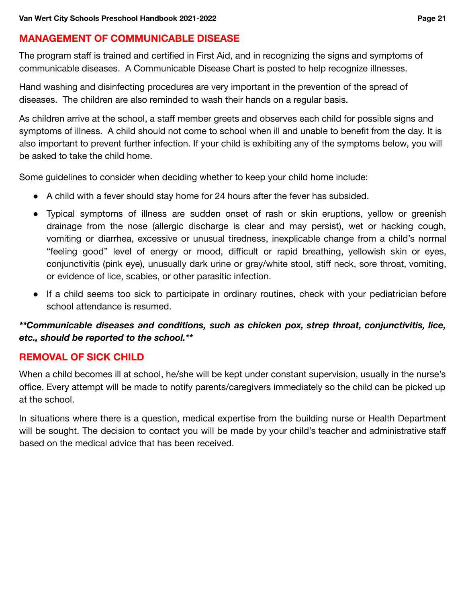### <span id="page-21-0"></span> **MANAGEMENT OF COMMUNICABLE DISEASE**

The program staff is trained and certified in First Aid, and in recognizing the signs and symptoms of communicable diseases. A Communicable Disease Chart is posted to help recognize illnesses.

Hand washing and disinfecting procedures are very important in the prevention of the spread of diseases. The children are also reminded to wash their hands on a regular basis.

As children arrive at the school, a staff member greets and observes each child for possible signs and symptoms of illness. A child should not come to school when ill and unable to benefit from the day. It is also important to prevent further infection. If your child is exhibiting any of the symptoms below, you will be asked to take the child home.

Some guidelines to consider when deciding whether to keep your child home include:

- A child with a fever should stay home for 24 hours after the fever has subsided.
- Typical symptoms of illness are sudden onset of rash or skin eruptions, yellow or greenish drainage from the nose (allergic discharge is clear and may persist), wet or hacking cough, vomiting or diarrhea, excessive or unusual tiredness, inexplicable change from a child's normal "feeling good" level of energy or mood, difficult or rapid breathing, yellowish skin or eyes, conjunctivitis (pink eye), unusually dark urine or gray/white stool, stiff neck, sore throat, vomiting, or evidence of lice, scabies, or other parasitic infection.
- If a child seems too sick to participate in ordinary routines, check with your pediatrician before school attendance is resumed.

### *\*\*Communicable diseases and conditions, such as chicken pox, strep throat, conjunctivitis, lice, etc., should be reported to the school.\*\**

#### <span id="page-21-1"></span> **REMOVAL OF SICK CHILD**

When a child becomes ill at school, he/she will be kept under constant supervision, usually in the nurse's office. Every attempt will be made to notify parents/caregivers immediately so the child can be picked up at the school.

In situations where there is a question, medical expertise from the building nurse or Health Department will be sought. The decision to contact you will be made by your child's teacher and administrative staff based on the medical advice that has been received.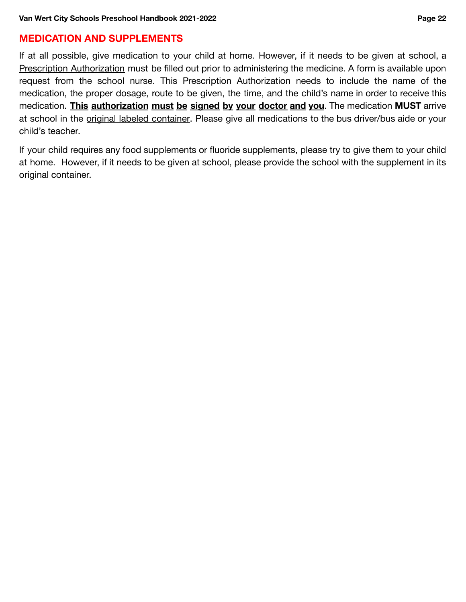## <span id="page-22-0"></span> **MEDICATION AND SUPPLEMENTS**

If at all possible, give medication to your child at home. However, if it needs to be given at school, a Prescription Authorization must be filled out prior to administering the medicine. A form is available upon request from the school nurse. This Prescription Authorization needs to include the name of the medication, the proper dosage, route to be given, the time, and the child's name in order to receive this medication. **This authorization must be signed by your doctor and you**. The medication **MUST** arrive at school in the original labeled container. Please give all medications to the bus driver/bus aide or your child's teacher.

If your child requires any food supplements or fluoride supplements, please try to give them to your child at home. However, if it needs to be given at school, please provide the school with the supplement in its original container.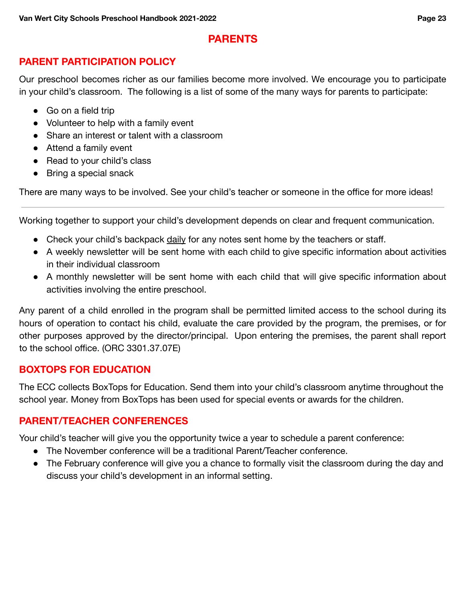### **PARENTS**

### <span id="page-23-1"></span><span id="page-23-0"></span>**PARENT PARTICIPATION POLICY**

Our preschool becomes richer as our families become more involved. We encourage you to participate in your child's classroom. The following is a list of some of the many ways for parents to participate:

- Go on a field trip
- Volunteer to help with a family event
- Share an interest or talent with a classroom
- Attend a family event
- Read to your child's class
- Bring a special snack

There are many ways to be involved. See your child's teacher or someone in the office for more ideas!

Working together to support your child's development depends on clear and frequent communication.

- Check your child's backpack daily for any notes sent home by the teachers or staff.
- A weekly newsletter will be sent home with each child to give specific information about activities in their individual classroom
- A monthly newsletter will be sent home with each child that will give specific information about activities involving the entire preschool.

Any parent of a child enrolled in the program shall be permitted limited access to the school during its hours of operation to contact his child, evaluate the care provided by the program, the premises, or for other purposes approved by the director/principal. Upon entering the premises, the parent shall report to the school office. (ORC 3301.37.07E)

### <span id="page-23-2"></span> **BOXTOPS FOR EDUCATION**

The ECC collects BoxTops for Education. Send them into your child's classroom anytime throughout the school year. Money from BoxTops has been used for special events or awards for the children.

### <span id="page-23-3"></span>**PARENT/TEACHER CONFERENCES**

Your child's teacher will give you the opportunity twice a year to schedule a parent conference:

- The November conference will be a traditional Parent/Teacher conference.
- The February conference will give you a chance to formally visit the classroom during the day and discuss your child's development in an informal setting.